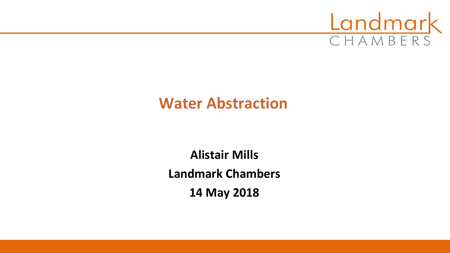

## **Water Abstraction**

**Alistair Mills Landmark Chambers 14 May 2018**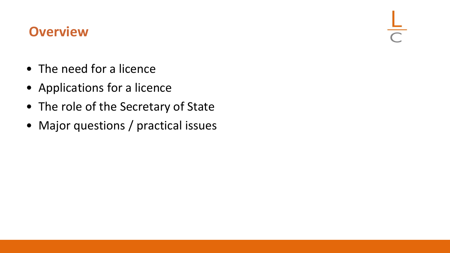#### **Overview**

- The need for a licence
- Applications for a licence
- The role of the Secretary of State
- Major questions / practical issues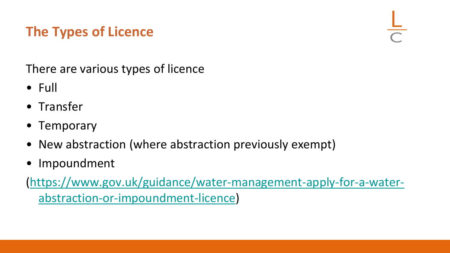# **The Types of Licence**

There are various types of licence

- Full
- Transfer
- Temporary
- New abstraction (where abstraction previously exempt)
- Impoundment

([https://www.gov.uk/guidance/water-management-apply-for-a-water](https://www.gov.uk/guidance/water-management-apply-for-a-water-abstraction-or-impoundment-licence)abstraction-or-impoundment-licence)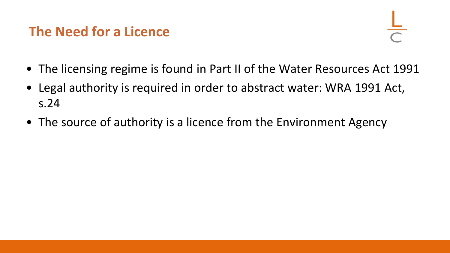## **The Need for a Licence**

- The licensing regime is found in Part II of the Water Resources Act 1991
- Legal authority is required in order to abstract water: WRA 1991 Act, s.24
- The source of authority is a licence from the Environment Agency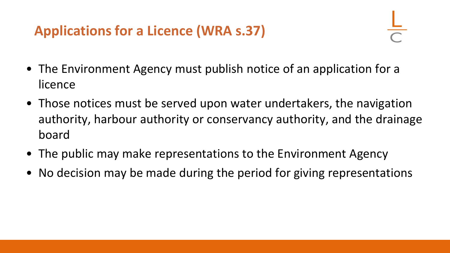# **Applications for a Licence (WRA s.37)**

- The Environment Agency must publish notice of an application for a licence
- Those notices must be served upon water undertakers, the navigation authority, harbour authority or conservancy authority, and the drainage board
- The public may make representations to the Environment Agency
- No decision may be made during the period for giving representations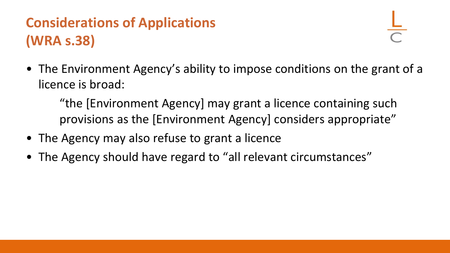# **Considerations of Applications (WRA s.38)**

• The Environment Agency's ability to impose conditions on the grant of a licence is broad:

"the [Environment Agency] may grant a licence containing such provisions as the [Environment Agency] considers appropriate"

- The Agency may also refuse to grant a licence
- The Agency should have regard to "all relevant circumstances"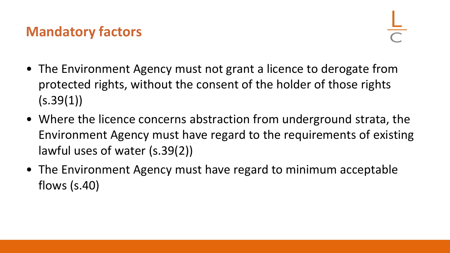## **Mandatory factors**

- The Environment Agency must not grant a licence to derogate from protected rights, without the consent of the holder of those rights  $(s.39(1))$
- Where the licence concerns abstraction from underground strata, the Environment Agency must have regard to the requirements of existing lawful uses of water (s.39(2))
- The Environment Agency must have regard to minimum acceptable flows (s.40)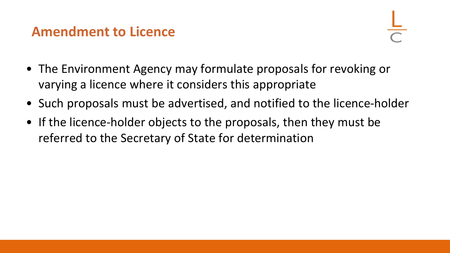#### **Amendment to Licence**

- The Environment Agency may formulate proposals for revoking or varying a licence where it considers this appropriate
- Such proposals must be advertised, and notified to the licence-holder
- If the licence-holder objects to the proposals, then they must be referred to the Secretary of State for determination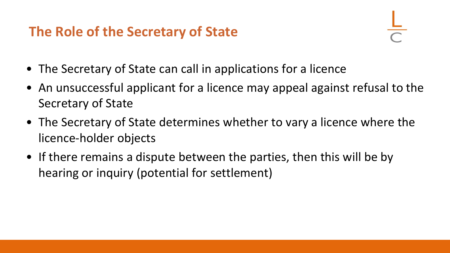## **The Role of the Secretary of State**

- The Secretary of State can call in applications for a licence
- An unsuccessful applicant for a licence may appeal against refusal to the Secretary of State
- The Secretary of State determines whether to vary a licence where the licence-holder objects
- If there remains a dispute between the parties, then this will be by hearing or inquiry (potential for settlement)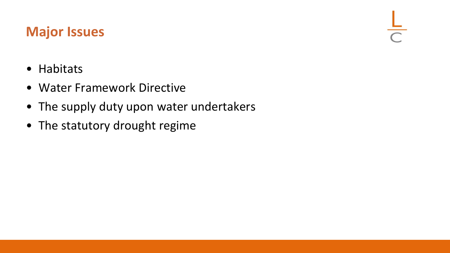### **Major Issues**

 $\frac{1}{\sqrt{2}}$ 

- Habitats
- Water Framework Directive
- The supply duty upon water undertakers
- The statutory drought regime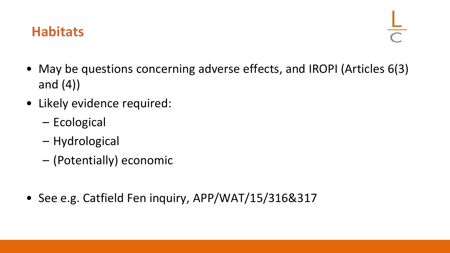### **Habitats**

- May be questions concerning adverse effects, and IROPI (Articles 6(3) and (4))
- Likely evidence required:
	- Ecological
	- Hydrological
	- (Potentially) economic
- See e.g. Catfield Fen inquiry, APP/WAT/15/316&317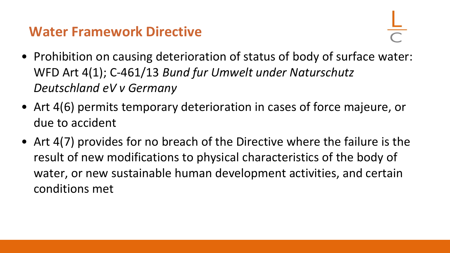#### **Water Framework Directive**

- Prohibition on causing deterioration of status of body of surface water: WFD Art 4(1); C-461/13 *Bund fur Umwelt under Naturschutz Deutschland eV v Germany*
- Art 4(6) permits temporary deterioration in cases of force majeure, or due to accident
- Art 4(7) provides for no breach of the Directive where the failure is the result of new modifications to physical characteristics of the body of water, or new sustainable human development activities, and certain conditions met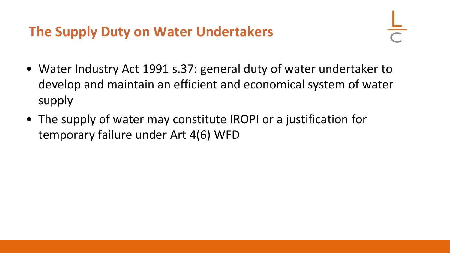## **The Supply Duty on Water Undertakers**

- Water Industry Act 1991 s.37: general duty of water undertaker to develop and maintain an efficient and economical system of water supply
- The supply of water may constitute IROPI or a justification for temporary failure under Art 4(6) WFD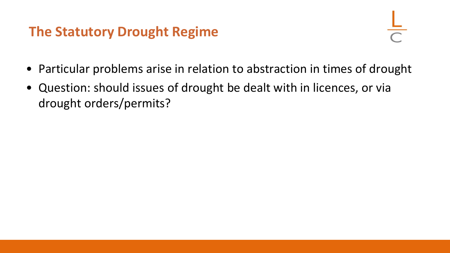### **The Statutory Drought Regime**



- Particular problems arise in relation to abstraction in times of drought
- Question: should issues of drought be dealt with in licences, or via drought orders/permits?